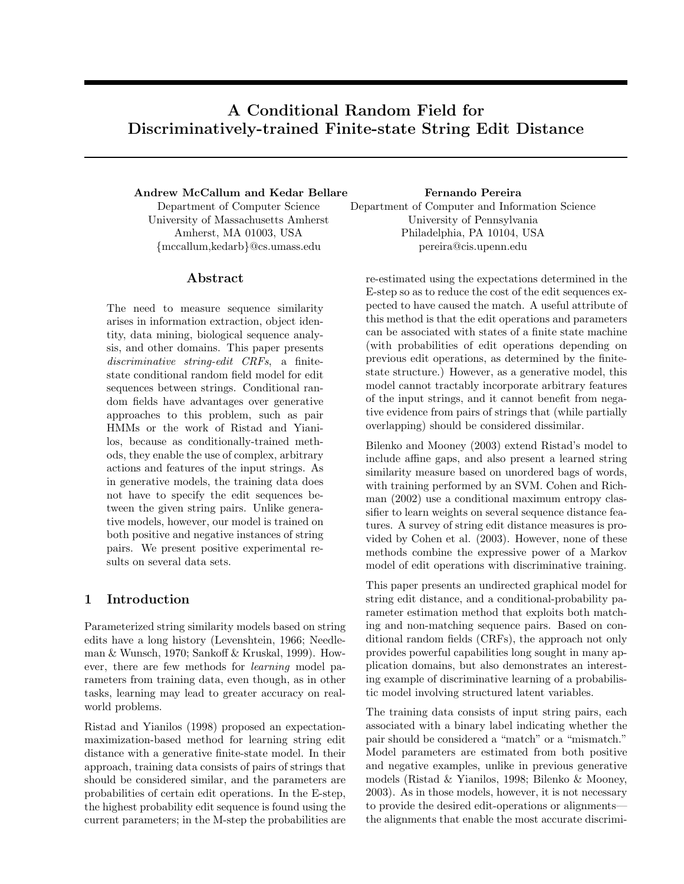# A Conditional Random Field for Discriminatively-trained Finite-state String Edit Distance

### Andrew McCallum and Kedar Bellare

Department of Computer Science University of Massachusetts Amherst Amherst, MA 01003, USA {mccallum,kedarb}@cs.umass.edu

### Abstract

The need to measure sequence similarity arises in information extraction, object identity, data mining, biological sequence analysis, and other domains. This paper presents discriminative string-edit CRFs, a finitestate conditional random field model for edit sequences between strings. Conditional random fields have advantages over generative approaches to this problem, such as pair HMMs or the work of Ristad and Yianilos, because as conditionally-trained methods, they enable the use of complex, arbitrary actions and features of the input strings. As in generative models, the training data does not have to specify the edit sequences between the given string pairs. Unlike generative models, however, our model is trained on both positive and negative instances of string pairs. We present positive experimental results on several data sets.

### 1 Introduction

Parameterized string similarity models based on string edits have a long history (Levenshtein, 1966; Needleman & Wunsch, 1970; Sankoff & Kruskal, 1999). However, there are few methods for learning model parameters from training data, even though, as in other tasks, learning may lead to greater accuracy on realworld problems.

Ristad and Yianilos (1998) proposed an expectationmaximization-based method for learning string edit distance with a generative finite-state model. In their approach, training data consists of pairs of strings that should be considered similar, and the parameters are probabilities of certain edit operations. In the E-step, the highest probability edit sequence is found using the current parameters; in the M-step the probabilities are

#### Fernando Pereira

Department of Computer and Information Science University of Pennsylvania Philadelphia, PA 10104, USA pereira@cis.upenn.edu

re-estimated using the expectations determined in the E-step so as to reduce the cost of the edit sequences expected to have caused the match. A useful attribute of this method is that the edit operations and parameters can be associated with states of a finite state machine (with probabilities of edit operations depending on previous edit operations, as determined by the finitestate structure.) However, as a generative model, this model cannot tractably incorporate arbitrary features of the input strings, and it cannot benefit from negative evidence from pairs of strings that (while partially overlapping) should be considered dissimilar.

Bilenko and Mooney (2003) extend Ristad's model to include affine gaps, and also present a learned string similarity measure based on unordered bags of words, with training performed by an SVM. Cohen and Richman (2002) use a conditional maximum entropy classifier to learn weights on several sequence distance features. A survey of string edit distance measures is provided by Cohen et al. (2003). However, none of these methods combine the expressive power of a Markov model of edit operations with discriminative training.

This paper presents an undirected graphical model for string edit distance, and a conditional-probability parameter estimation method that exploits both matching and non-matching sequence pairs. Based on conditional random fields (CRFs), the approach not only provides powerful capabilities long sought in many application domains, but also demonstrates an interesting example of discriminative learning of a probabilistic model involving structured latent variables.

The training data consists of input string pairs, each associated with a binary label indicating whether the pair should be considered a "match" or a "mismatch." Model parameters are estimated from both positive and negative examples, unlike in previous generative models (Ristad & Yianilos, 1998; Bilenko & Mooney, 2003). As in those models, however, it is not necessary to provide the desired edit-operations or alignments the alignments that enable the most accurate discrimi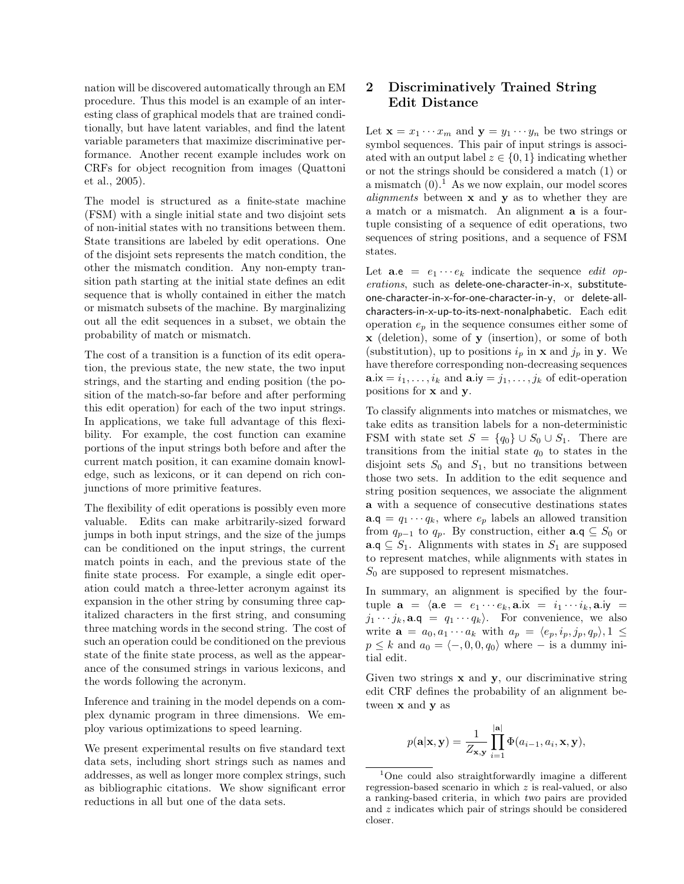nation will be discovered automatically through an EM procedure. Thus this model is an example of an interesting class of graphical models that are trained conditionally, but have latent variables, and find the latent variable parameters that maximize discriminative performance. Another recent example includes work on CRFs for object recognition from images (Quattoni et al., 2005).

The model is structured as a finite-state machine (FSM) with a single initial state and two disjoint sets of non-initial states with no transitions between them. State transitions are labeled by edit operations. One of the disjoint sets represents the match condition, the other the mismatch condition. Any non-empty transition path starting at the initial state defines an edit sequence that is wholly contained in either the match or mismatch subsets of the machine. By marginalizing out all the edit sequences in a subset, we obtain the probability of match or mismatch.

The cost of a transition is a function of its edit operation, the previous state, the new state, the two input strings, and the starting and ending position (the position of the match-so-far before and after performing this edit operation) for each of the two input strings. In applications, we take full advantage of this flexibility. For example, the cost function can examine portions of the input strings both before and after the current match position, it can examine domain knowledge, such as lexicons, or it can depend on rich conjunctions of more primitive features.

The flexibility of edit operations is possibly even more valuable. Edits can make arbitrarily-sized forward jumps in both input strings, and the size of the jumps can be conditioned on the input strings, the current match points in each, and the previous state of the finite state process. For example, a single edit operation could match a three-letter acronym against its expansion in the other string by consuming three capitalized characters in the first string, and consuming three matching words in the second string. The cost of such an operation could be conditioned on the previous state of the finite state process, as well as the appearance of the consumed strings in various lexicons, and the words following the acronym.

Inference and training in the model depends on a complex dynamic program in three dimensions. We employ various optimizations to speed learning.

We present experimental results on five standard text data sets, including short strings such as names and addresses, as well as longer more complex strings, such as bibliographic citations. We show significant error reductions in all but one of the data sets.

# 2 Discriminatively Trained String Edit Distance

Let  $\mathbf{x} = x_1 \cdots x_m$  and  $\mathbf{y} = y_1 \cdots y_n$  be two strings or symbol sequences. This pair of input strings is associated with an output label  $z \in \{0, 1\}$  indicating whether or not the strings should be considered a match (1) or a mismatch  $(0)$ .<sup>1</sup> As we now explain, our model scores *alignments* between  $x$  and  $y$  as to whether they are a match or a mismatch. An alignment a is a fourtuple consisting of a sequence of edit operations, two sequences of string positions, and a sequence of FSM states.

Let  $\mathbf{a}.\mathbf{e} = e_1 \cdots e_k$  indicate the sequence *edit op*erations, such as delete-one-character-in-x, substituteone-character-in-x-for-one-character-in-y, or delete-allcharacters-in-x-up-to-its-next-nonalphabetic. Each edit operation  $e_p$  in the sequence consumes either some of x (deletion), some of y (insertion), or some of both (substitution), up to positions  $i_p$  in **x** and  $j_p$  in **y**. We have therefore corresponding non-decreasing sequences  $\mathbf{a}.\mathsf{x} = i_1, \ldots, i_k$  and  $\mathbf{a}.\mathsf{iy} = j_1, \ldots, j_k$  of edit-operation positions for x and y.

To classify alignments into matches or mismatches, we take edits as transition labels for a non-deterministic FSM with state set  $S = \{q_0\} \cup S_0 \cup S_1$ . There are transitions from the initial state  $q_0$  to states in the disjoint sets  $S_0$  and  $S_1$ , but no transitions between those two sets. In addition to the edit sequence and string position sequences, we associate the alignment a with a sequence of consecutive destinations states  $\mathbf{a} \cdot \mathbf{q} = q_1 \cdots q_k$ , where  $e_p$  labels an allowed transition from  $q_{p-1}$  to  $q_p$ . By construction, either  $\mathbf{a} \cdot \mathbf{q} \subseteq S_0$  or  $\mathbf{a} \in S_1$ . Alignments with states in  $S_1$  are supposed to represent matches, while alignments with states in  $S_0$  are supposed to represent mismatches.

In summary, an alignment is specified by the fourtuple  $\mathbf{a} = \langle \mathbf{a} \cdot \mathbf{e} = e_1 \cdots e_k, \mathbf{a} \cdot \mathbf{i} \times \mathbf{i} = i_1 \cdots i_k, \mathbf{a} \cdot \mathbf{i} \times \mathbf{j} =$  $j_1 \cdots j_k$ ,  $\mathbf{a} \cdot \mathbf{q} = q_1 \cdots q_k$ . For convenience, we also write  $\mathbf{a} = a_0, a_1 \cdots a_k$  with  $a_p = \langle e_p, i_p, j_p, q_p \rangle, 1 \leq$  $p \leq k$  and  $a_0 = \langle -, 0, 0, q_0 \rangle$  where  $-$  is a dummy initial edit.

Given two strings  $x$  and  $y$ , our discriminative string edit CRF defines the probability of an alignment between **x** and **y** as

$$
p(\mathbf{a}|\mathbf{x}, \mathbf{y}) = \frac{1}{Z_{\mathbf{x}, \mathbf{y}}} \prod_{i=1}^{|\mathbf{a}|} \Phi(a_{i-1}, a_i, \mathbf{x}, \mathbf{y}),
$$

<sup>1</sup>One could also straightforwardly imagine a different regression-based scenario in which z is real-valued, or also a ranking-based criteria, in which two pairs are provided and z indicates which pair of strings should be considered closer.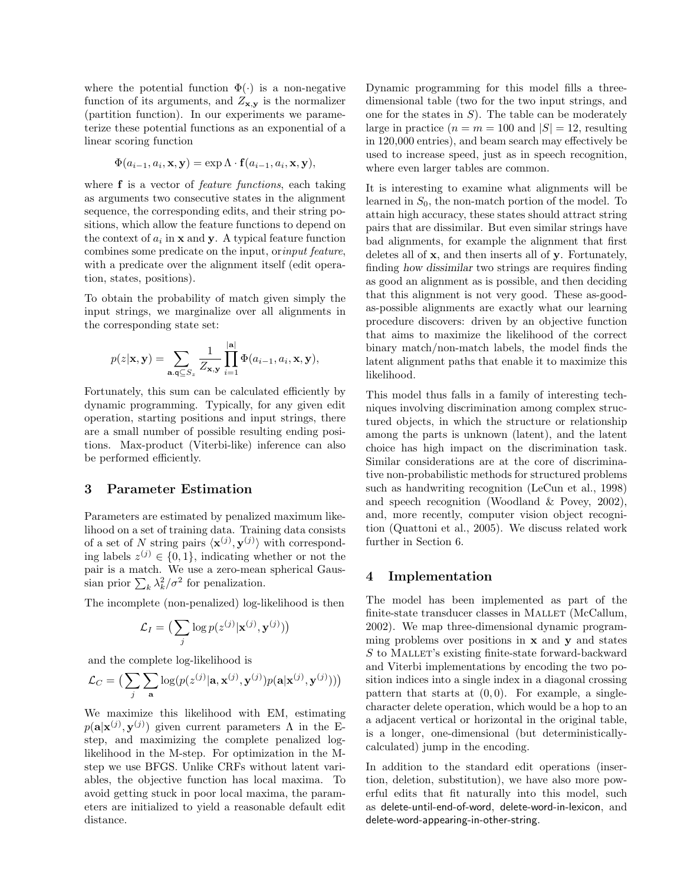where the potential function  $\Phi(\cdot)$  is a non-negative function of its arguments, and  $Z_{\mathbf{x},\mathbf{y}}$  is the normalizer (partition function). In our experiments we parameterize these potential functions as an exponential of a linear scoring function

$$
\Phi(a_{i-1}, a_i, \mathbf{x}, \mathbf{y}) = \exp \Lambda \cdot \mathbf{f}(a_{i-1}, a_i, \mathbf{x}, \mathbf{y}),
$$

where **f** is a vector of *feature functions*, each taking as arguments two consecutive states in the alignment sequence, the corresponding edits, and their string positions, which allow the feature functions to depend on the context of  $a_i$  in **x** and **y**. A typical feature function combines some predicate on the input, orinput feature, with a predicate over the alignment itself (edit operation, states, positions).

To obtain the probability of match given simply the input strings, we marginalize over all alignments in the corresponding state set:

$$
p(z|\mathbf{x}, \mathbf{y}) = \sum_{\mathbf{a}, \mathbf{q} \subseteq S_z} \frac{1}{Z_{\mathbf{x}, \mathbf{y}}} \prod_{i=1}^{|\mathbf{a}|} \Phi(a_{i-1}, a_i, \mathbf{x}, \mathbf{y}),
$$

Fortunately, this sum can be calculated efficiently by dynamic programming. Typically, for any given edit operation, starting positions and input strings, there are a small number of possible resulting ending positions. Max-product (Viterbi-like) inference can also be performed efficiently.

### 3 Parameter Estimation

Parameters are estimated by penalized maximum likelihood on a set of training data. Training data consists of a set of N string pairs  $\langle \mathbf{x}^{(j)}, \mathbf{y}^{(j)} \rangle$  with corresponding labels  $z^{(j)} \in \{0,1\}$ , indicating whether or not the pair is a match. We use a zero-mean spherical Gaussian prior  $\sum_k \lambda_k^2/\sigma^2$  for penalization.

The incomplete (non-penalized) log-likelihood is then

$$
\mathcal{L}_I = \big(\sum_j \log p(z^{(j)} | \mathbf{x}^{(j)}, \mathbf{y}^{(j)})\big)
$$

and the complete log-likelihood is

$$
\mathcal{L}_C = \big(\sum_j \sum_\mathbf{a} \log(p(z^{(j)}|\mathbf{a}, \mathbf{x}^{(j)}, \mathbf{y}^{(j)})p(\mathbf{a}|\mathbf{x}^{(j)}, \mathbf{y}^{(j)}))\big)
$$

We maximize this likelihood with EM, estimating  $p(\mathbf{a}|\mathbf{x}^{(j)}, \mathbf{y}^{(j)})$  given current parameters  $\Lambda$  in the Estep, and maximizing the complete penalized loglikelihood in the M-step. For optimization in the Mstep we use BFGS. Unlike CRFs without latent variables, the objective function has local maxima. To avoid getting stuck in poor local maxima, the parameters are initialized to yield a reasonable default edit distance.

Dynamic programming for this model fills a threedimensional table (two for the two input strings, and one for the states in  $S$ ). The table can be moderately large in practice  $(n = m = 100 \text{ and } |S| = 12$ , resulting in 120,000 entries), and beam search may effectively be used to increase speed, just as in speech recognition, where even larger tables are common.

It is interesting to examine what alignments will be learned in  $S_0$ , the non-match portion of the model. To attain high accuracy, these states should attract string pairs that are dissimilar. But even similar strings have bad alignments, for example the alignment that first deletes all of x, and then inserts all of y. Fortunately, finding how dissimilar two strings are requires finding as good an alignment as is possible, and then deciding that this alignment is not very good. These as-goodas-possible alignments are exactly what our learning procedure discovers: driven by an objective function that aims to maximize the likelihood of the correct binary match/non-match labels, the model finds the latent alignment paths that enable it to maximize this likelihood.

This model thus falls in a family of interesting techniques involving discrimination among complex structured objects, in which the structure or relationship among the parts is unknown (latent), and the latent choice has high impact on the discrimination task. Similar considerations are at the core of discriminative non-probabilistic methods for structured problems such as handwriting recognition (LeCun et al., 1998) and speech recognition (Woodland & Povey, 2002), and, more recently, computer vision object recognition (Quattoni et al., 2005). We discuss related work further in Section 6.

### 4 Implementation

The model has been implemented as part of the finite-state transducer classes in MALLET (McCallum, 2002). We map three-dimensional dynamic programming problems over positions in  $x$  and  $y$  and states S to MALLET's existing finite-state forward-backward and Viterbi implementations by encoding the two position indices into a single index in a diagonal crossing pattern that starts at  $(0, 0)$ . For example, a singlecharacter delete operation, which would be a hop to an a adjacent vertical or horizontal in the original table, is a longer, one-dimensional (but deterministicallycalculated) jump in the encoding.

In addition to the standard edit operations (insertion, deletion, substitution), we have also more powerful edits that fit naturally into this model, such as delete-until-end-of-word, delete-word-in-lexicon, and delete-word-appearing-in-other-string.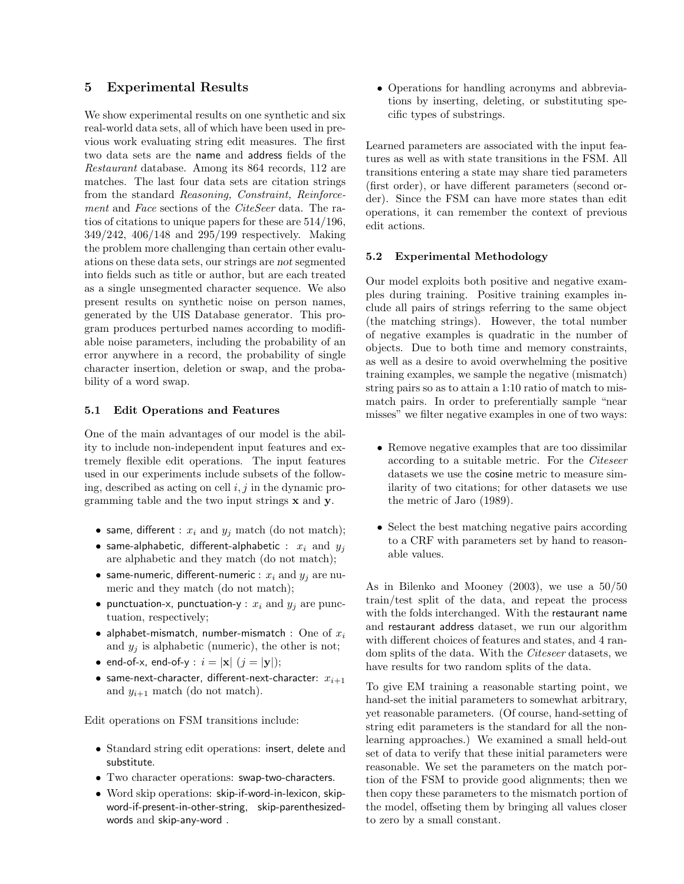### 5 Experimental Results

We show experimental results on one synthetic and six real-world data sets, all of which have been used in previous work evaluating string edit measures. The first two data sets are the name and address fields of the Restaurant database. Among its 864 records, 112 are matches. The last four data sets are citation strings from the standard Reasoning, Constraint, Reinforcement and Face sections of the CiteSeer data. The ratios of citations to unique papers for these are 514/196, 349/242, 406/148 and 295/199 respectively. Making the problem more challenging than certain other evaluations on these data sets, our strings are not segmented into fields such as title or author, but are each treated as a single unsegmented character sequence. We also present results on synthetic noise on person names, generated by the UIS Database generator. This program produces perturbed names according to modifiable noise parameters, including the probability of an error anywhere in a record, the probability of single character insertion, deletion or swap, and the probability of a word swap.

#### 5.1 Edit Operations and Features

One of the main advantages of our model is the ability to include non-independent input features and extremely flexible edit operations. The input features used in our experiments include subsets of the following, described as acting on cell  $i, j$  in the dynamic programming table and the two input strings x and y.

- same, different :  $x_i$  and  $y_j$  match (do not match);
- same-alphabetic, different-alphabetic :  $x_i$  and  $y_j$ are alphabetic and they match (do not match);
- same-numeric, different-numeric :  $x_i$  and  $y_j$  are numeric and they match (do not match);
- punctuation-x, punctuation-y :  $x_i$  and  $y_j$  are punctuation, respectively;
- alphabet-mismatch, number-mismatch : One of  $x_i$ and  $y_i$  is alphabetic (numeric), the other is not;
- end-of-x, end-of-y :  $i = |x|$   $(j = |y|)$ ;
- same-next-character, different-next-character:  $x_{i+1}$ and  $y_{i+1}$  match (do not match).

Edit operations on FSM transitions include:

- Standard string edit operations: insert, delete and substitute.
- Two character operations: swap-two-characters.
- Word skip operations: skip-if-word-in-lexicon, skipword-if-present-in-other-string, skip-parenthesizedwords and skip-any-word .

• Operations for handling acronyms and abbreviations by inserting, deleting, or substituting specific types of substrings.

Learned parameters are associated with the input features as well as with state transitions in the FSM. All transitions entering a state may share tied parameters (first order), or have different parameters (second order). Since the FSM can have more states than edit operations, it can remember the context of previous edit actions.

#### 5.2 Experimental Methodology

Our model exploits both positive and negative examples during training. Positive training examples include all pairs of strings referring to the same object (the matching strings). However, the total number of negative examples is quadratic in the number of objects. Due to both time and memory constraints, as well as a desire to avoid overwhelming the positive training examples, we sample the negative (mismatch) string pairs so as to attain a 1:10 ratio of match to mismatch pairs. In order to preferentially sample "near misses" we filter negative examples in one of two ways:

- Remove negative examples that are too dissimilar according to a suitable metric. For the Citeseer datasets we use the cosine metric to measure similarity of two citations; for other datasets we use the metric of Jaro (1989).
- Select the best matching negative pairs according to a CRF with parameters set by hand to reasonable values.

As in Bilenko and Mooney (2003), we use a 50/50 train/test split of the data, and repeat the process with the folds interchanged. With the restaurant name and restaurant address dataset, we run our algorithm with different choices of features and states, and 4 random splits of the data. With the Citeseer datasets, we have results for two random splits of the data.

To give EM training a reasonable starting point, we hand-set the initial parameters to somewhat arbitrary, yet reasonable parameters. (Of course, hand-setting of string edit parameters is the standard for all the nonlearning approaches.) We examined a small held-out set of data to verify that these initial parameters were reasonable. We set the parameters on the match portion of the FSM to provide good alignments; then we then copy these parameters to the mismatch portion of the model, offseting them by bringing all values closer to zero by a small constant.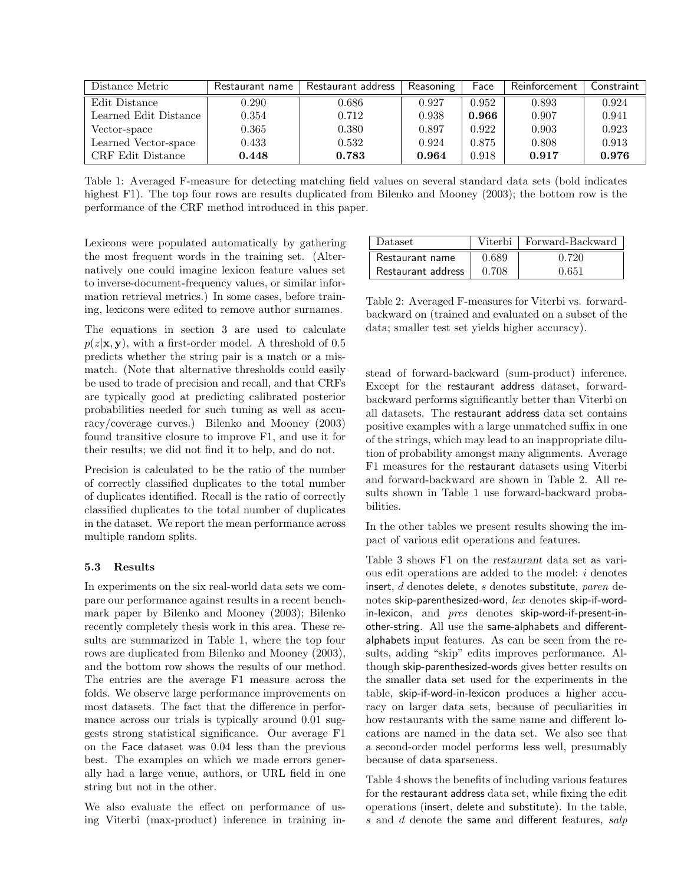| Distance Metric       | Restaurant name | Restaurant address | Reasoning | Face  | Reinforcement | Constraint l |
|-----------------------|-----------------|--------------------|-----------|-------|---------------|--------------|
| Edit Distance         | 0.290           | 0.686              | 0.927     | 0.952 | 0.893         | 0.924        |
| Learned Edit Distance | 0.354           | 0.712              | 0.938     | 0.966 | 0.907         | 0.941        |
| Vector-space          | 0.365           | 0.380              | 0.897     | 0.922 | 0.903         | 0.923        |
| Learned Vector-space  | 0.433           | 0.532              | 0.924     | 0.875 | 0.808         | 0.913        |
| CRF Edit Distance     | 0.448           | 0.783              | 0.964     | 0.918 | 0.917         | 0.976        |

Table 1: Averaged F-measure for detecting matching field values on several standard data sets (bold indicates highest F1). The top four rows are results duplicated from Bilenko and Mooney (2003); the bottom row is the performance of the CRF method introduced in this paper.

Lexicons were populated automatically by gathering the most frequent words in the training set. (Alternatively one could imagine lexicon feature values set to inverse-document-frequency values, or similar information retrieval metrics.) In some cases, before training, lexicons were edited to remove author surnames.

The equations in section 3 are used to calculate  $p(z|\mathbf{x}, \mathbf{y})$ , with a first-order model. A threshold of 0.5 predicts whether the string pair is a match or a mismatch. (Note that alternative thresholds could easily be used to trade of precision and recall, and that CRFs are typically good at predicting calibrated posterior probabilities needed for such tuning as well as accuracy/coverage curves.) Bilenko and Mooney (2003) found transitive closure to improve F1, and use it for their results; we did not find it to help, and do not.

Precision is calculated to be the ratio of the number of correctly classified duplicates to the total number of duplicates identified. Recall is the ratio of correctly classified duplicates to the total number of duplicates in the dataset. We report the mean performance across multiple random splits.

#### 5.3 Results

In experiments on the six real-world data sets we compare our performance against results in a recent benchmark paper by Bilenko and Mooney (2003); Bilenko recently completely thesis work in this area. These results are summarized in Table 1, where the top four rows are duplicated from Bilenko and Mooney (2003), and the bottom row shows the results of our method. The entries are the average F1 measure across the folds. We observe large performance improvements on most datasets. The fact that the difference in performance across our trials is typically around 0.01 suggests strong statistical significance. Our average F1 on the Face dataset was 0.04 less than the previous best. The examples on which we made errors generally had a large venue, authors, or URL field in one string but not in the other.

We also evaluate the effect on performance of using Viterbi (max-product) inference in training in-

| Dataset            |       | Viterbi   Forward-Backward |
|--------------------|-------|----------------------------|
| Restaurant name    | 0.689 | 0.720                      |
| Restaurant address | 0.708 | በ 651                      |

Table 2: Averaged F-measures for Viterbi vs. forwardbackward on (trained and evaluated on a subset of the data; smaller test set yields higher accuracy).

stead of forward-backward (sum-product) inference. Except for the restaurant address dataset, forwardbackward performs significantly better than Viterbi on all datasets. The restaurant address data set contains positive examples with a large unmatched suffix in one of the strings, which may lead to an inappropriate dilution of probability amongst many alignments. Average F1 measures for the restaurant datasets using Viterbi and forward-backward are shown in Table 2. All results shown in Table 1 use forward-backward probabilities.

In the other tables we present results showing the impact of various edit operations and features.

Table 3 shows F1 on the restaurant data set as various edit operations are added to the model: i denotes insert, d denotes delete, s denotes substitute, paren denotes skip-parenthesized-word, lex denotes skip-if-wordin-lexicon, and pres denotes skip-word-if-present-inother-string. All use the same-alphabets and differentalphabets input features. As can be seen from the results, adding "skip" edits improves performance. Although skip-parenthesized-words gives better results on the smaller data set used for the experiments in the table, skip-if-word-in-lexicon produces a higher accuracy on larger data sets, because of peculiarities in how restaurants with the same name and different locations are named in the data set. We also see that a second-order model performs less well, presumably because of data sparseness.

Table 4 shows the benefits of including various features for the restaurant address data set, while fixing the edit operations (insert, delete and substitute). In the table,  $s$  and  $d$  denote the same and different features,  $salp$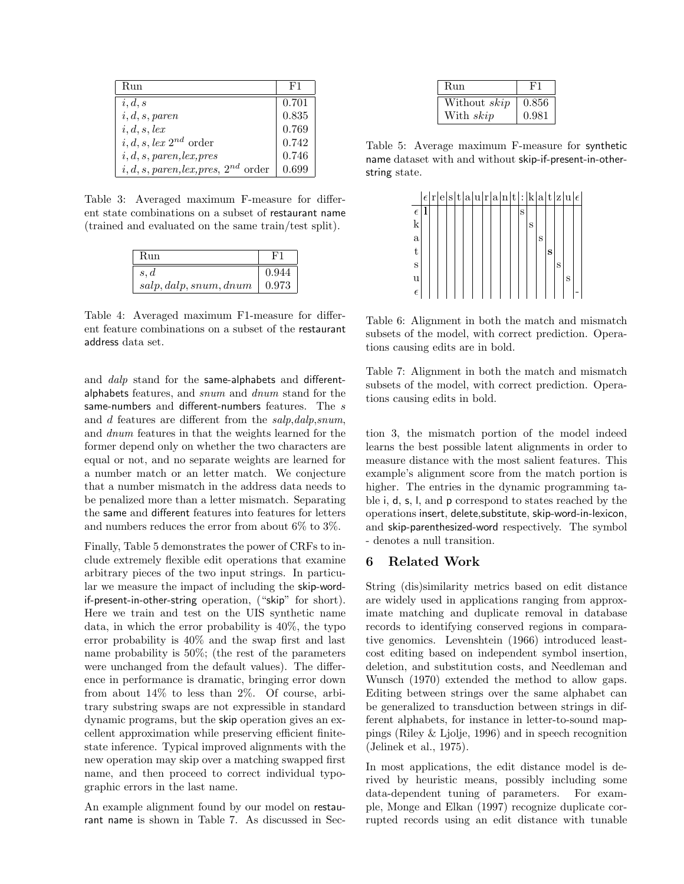| Run                                    | -F1   |
|----------------------------------------|-------|
| i, d, s                                | 0.701 |
| i, d, s, paren                         | 0.835 |
| $i, d, s, \text{lex}$                  | 0.769 |
| i, d, s, lex $2^{nd}$ order            | 0.742 |
| i, d, s, paren, lex, pres              | 0.746 |
| $i, d, s, paren, lex, pres, 2nd order$ | 0.699 |

Table 3: Averaged maximum F-measure for different state combinations on a subset of restaurant name (trained and evaluated on the same train/test split).

| Run                    |       |
|------------------------|-------|
| s, d                   | 0.944 |
| salp, dalp, snum, dnum | 0.973 |

Table 4: Averaged maximum F1-measure for different feature combinations on a subset of the restaurant address data set.

and *dalp* stand for the same-alphabets and differentalphabets features, and snum and dnum stand for the same-numbers and different-numbers features. The s and d features are different from the salp,dalp,snum, and dnum features in that the weights learned for the former depend only on whether the two characters are equal or not, and no separate weights are learned for a number match or an letter match. We conjecture that a number mismatch in the address data needs to be penalized more than a letter mismatch. Separating the same and different features into features for letters and numbers reduces the error from about 6% to 3%.

Finally, Table 5 demonstrates the power of CRFs to include extremely flexible edit operations that examine arbitrary pieces of the two input strings. In particular we measure the impact of including the skip-wordif-present-in-other-string operation, ("skip" for short). Here we train and test on the UIS synthetic name data, in which the error probability is 40%, the typo error probability is 40% and the swap first and last name probability is 50%; (the rest of the parameters were unchanged from the default values). The difference in performance is dramatic, bringing error down from about 14% to less than 2%. Of course, arbitrary substring swaps are not expressible in standard dynamic programs, but the skip operation gives an excellent approximation while preserving efficient finitestate inference. Typical improved alignments with the new operation may skip over a matching swapped first name, and then proceed to correct individual typographic errors in the last name.

An example alignment found by our model on restaurant name is shown in Table 7. As discussed in Sec-

| Run          | FJ    |
|--------------|-------|
| Without skip | 0.856 |
| With skip    | 0.981 |

Table 5: Average maximum F-measure for synthetic name dataset with and without skip-if-present-in-otherstring state.



Table 6: Alignment in both the match and mismatch subsets of the model, with correct prediction. Operations causing edits are in bold.

Table 7: Alignment in both the match and mismatch subsets of the model, with correct prediction. Operations causing edits in bold.

tion 3, the mismatch portion of the model indeed learns the best possible latent alignments in order to measure distance with the most salient features. This example's alignment score from the match portion is higher. The entries in the dynamic programming table i, d, s, l, and p correspond to states reached by the operations insert, delete,substitute, skip-word-in-lexicon, and skip-parenthesized-word respectively. The symbol - denotes a null transition.

### 6 Related Work

String (dis)similarity metrics based on edit distance are widely used in applications ranging from approximate matching and duplicate removal in database records to identifying conserved regions in comparative genomics. Levenshtein (1966) introduced leastcost editing based on independent symbol insertion, deletion, and substitution costs, and Needleman and Wunsch (1970) extended the method to allow gaps. Editing between strings over the same alphabet can be generalized to transduction between strings in different alphabets, for instance in letter-to-sound mappings (Riley & Ljolje, 1996) and in speech recognition (Jelinek et al., 1975).

In most applications, the edit distance model is derived by heuristic means, possibly including some data-dependent tuning of parameters. For example, Monge and Elkan (1997) recognize duplicate corrupted records using an edit distance with tunable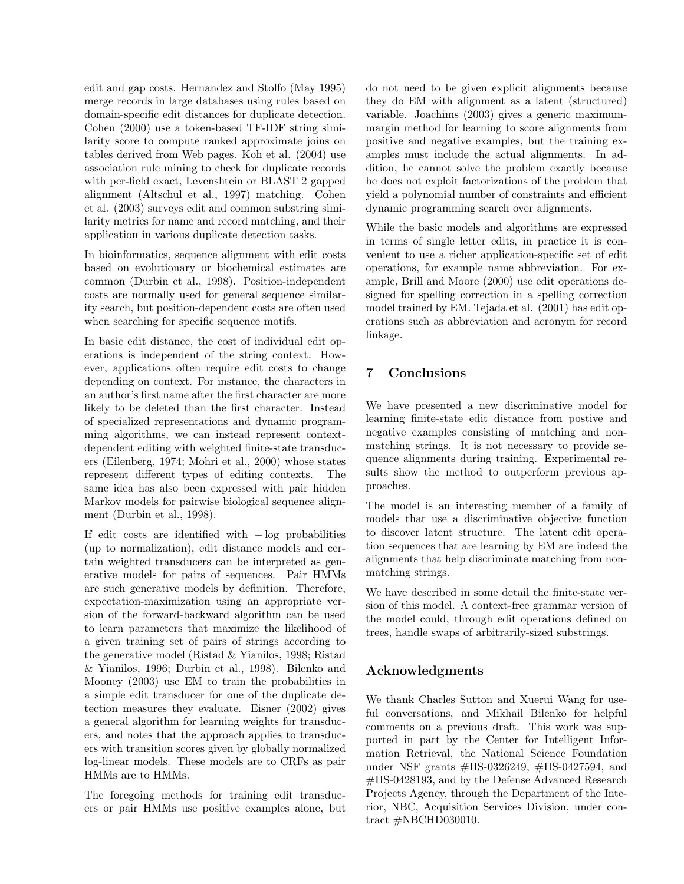edit and gap costs. Hernandez and Stolfo (May 1995) merge records in large databases using rules based on domain-specific edit distances for duplicate detection. Cohen (2000) use a token-based TF-IDF string similarity score to compute ranked approximate joins on tables derived from Web pages. Koh et al. (2004) use association rule mining to check for duplicate records with per-field exact, Levenshtein or BLAST 2 gapped alignment (Altschul et al., 1997) matching. Cohen et al. (2003) surveys edit and common substring similarity metrics for name and record matching, and their application in various duplicate detection tasks.

In bioinformatics, sequence alignment with edit costs based on evolutionary or biochemical estimates are common (Durbin et al., 1998). Position-independent costs are normally used for general sequence similarity search, but position-dependent costs are often used when searching for specific sequence motifs.

In basic edit distance, the cost of individual edit operations is independent of the string context. However, applications often require edit costs to change depending on context. For instance, the characters in an author's first name after the first character are more likely to be deleted than the first character. Instead of specialized representations and dynamic programming algorithms, we can instead represent contextdependent editing with weighted finite-state transducers (Eilenberg, 1974; Mohri et al., 2000) whose states represent different types of editing contexts. The same idea has also been expressed with pair hidden Markov models for pairwise biological sequence alignment (Durbin et al., 1998).

If edit costs are identified with  $-\log$  probabilities (up to normalization), edit distance models and certain weighted transducers can be interpreted as generative models for pairs of sequences. Pair HMMs are such generative models by definition. Therefore, expectation-maximization using an appropriate version of the forward-backward algorithm can be used to learn parameters that maximize the likelihood of a given training set of pairs of strings according to the generative model (Ristad & Yianilos, 1998; Ristad & Yianilos, 1996; Durbin et al., 1998). Bilenko and Mooney (2003) use EM to train the probabilities in a simple edit transducer for one of the duplicate detection measures they evaluate. Eisner (2002) gives a general algorithm for learning weights for transducers, and notes that the approach applies to transducers with transition scores given by globally normalized log-linear models. These models are to CRFs as pair HMMs are to HMMs.

The foregoing methods for training edit transducers or pair HMMs use positive examples alone, but do not need to be given explicit alignments because they do EM with alignment as a latent (structured) variable. Joachims (2003) gives a generic maximummargin method for learning to score alignments from positive and negative examples, but the training examples must include the actual alignments. In addition, he cannot solve the problem exactly because he does not exploit factorizations of the problem that yield a polynomial number of constraints and efficient dynamic programming search over alignments.

While the basic models and algorithms are expressed in terms of single letter edits, in practice it is convenient to use a richer application-specific set of edit operations, for example name abbreviation. For example, Brill and Moore (2000) use edit operations designed for spelling correction in a spelling correction model trained by EM. Tejada et al. (2001) has edit operations such as abbreviation and acronym for record linkage.

# 7 Conclusions

We have presented a new discriminative model for learning finite-state edit distance from postive and negative examples consisting of matching and nonmatching strings. It is not necessary to provide sequence alignments during training. Experimental results show the method to outperform previous approaches.

The model is an interesting member of a family of models that use a discriminative objective function to discover latent structure. The latent edit operation sequences that are learning by EM are indeed the alignments that help discriminate matching from nonmatching strings.

We have described in some detail the finite-state version of this model. A context-free grammar version of the model could, through edit operations defined on trees, handle swaps of arbitrarily-sized substrings.

# Acknowledgments

We thank Charles Sutton and Xuerui Wang for useful conversations, and Mikhail Bilenko for helpful comments on a previous draft. This work was supported in part by the Center for Intelligent Information Retrieval, the National Science Foundation under NSF grants #IIS-0326249, #IIS-0427594, and #IIS-0428193, and by the Defense Advanced Research Projects Agency, through the Department of the Interior, NBC, Acquisition Services Division, under contract #NBCHD030010.